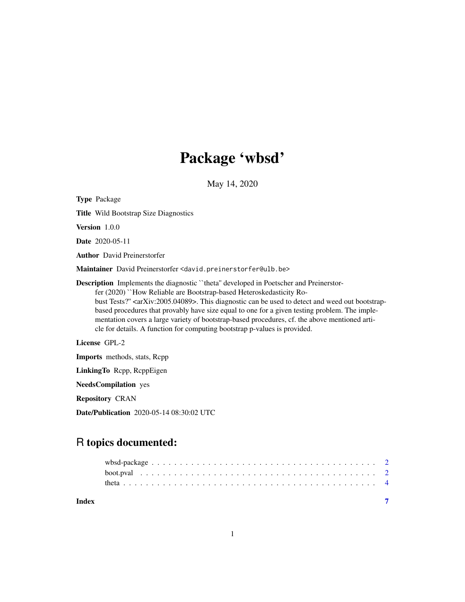## Package 'wbsd'

May 14, 2020

Type Package Title Wild Bootstrap Size Diagnostics Version 1.0.0 Date 2020-05-11 Author David Preinerstorfer Maintainer David Preinerstorfer <david.preinerstorfer@ulb.be> Description Implements the diagnostic ``theta'' developed in Poetscher and Preinerstorfer (2020) ``How Reliable are Bootstrap-based Heteroskedasticity Robust Tests?" <arXiv:2005.04089>. This diagnostic can be used to detect and weed out bootstrapbased procedures that provably have size equal to one for a given testing problem. The implementation covers a large variety of bootstrap-based procedures, cf. the above mentioned article for details. A function for computing bootstrap p-values is provided. License GPL-2 Imports methods, stats, Rcpp LinkingTo Rcpp, RcppEigen

NeedsCompilation yes

Repository CRAN

Date/Publication 2020-05-14 08:30:02 UTC

## R topics documented:

| Index |  |
|-------|--|
|       |  |
|       |  |
|       |  |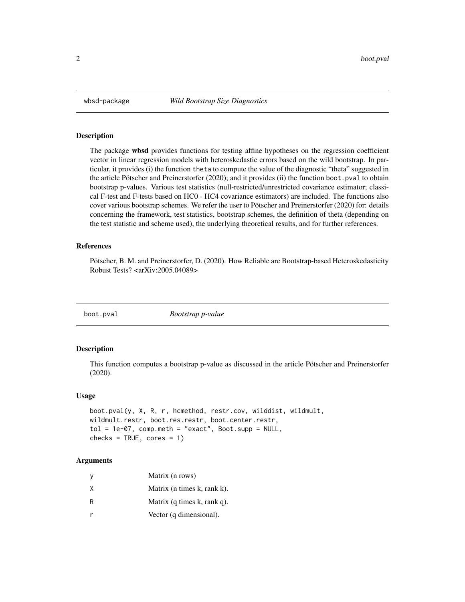<span id="page-1-0"></span>

#### Description

The package wbsd provides functions for testing affine hypotheses on the regression coefficient vector in linear regression models with heteroskedastic errors based on the wild bootstrap. In particular, it provides (i) the function theta to compute the value of the diagnostic "theta" suggested in the article Pötscher and Preinerstorfer (2020); and it provides (ii) the function boot.pval to obtain bootstrap p-values. Various test statistics (null-restricted/unrestricted covariance estimator; classical F-test and F-tests based on HC0 - HC4 covariance estimators) are included. The functions also cover various bootstrap schemes. We refer the user to Pötscher and Preinerstorfer (2020) for: details concerning the framework, test statistics, bootstrap schemes, the definition of theta (depending on the test statistic and scheme used), the underlying theoretical results, and for further references.

#### References

Pötscher, B. M. and Preinerstorfer, D. (2020). How Reliable are Bootstrap-based Heteroskedasticity Robust Tests? <arXiv:2005.04089>

boot.pval *Bootstrap p-value*

#### Description

This function computes a bootstrap p-value as discussed in the article Pötscher and Preinerstorfer (2020).

#### Usage

```
boot.pval(y, X, R, r, hcmethod, restr.cov, wilddist, wildmult,
wildmult.restr, boot.res.restr, boot.center.restr,
tol = 1e-07, comp.meth = "exact", Boot.supp = NULL,
checks = TRUE, cores = 1)
```
#### Arguments

| У | Matrix (n rows)                         |
|---|-----------------------------------------|
| X | Matrix (n times k, rank k).             |
| R | Matrix $(q \times k, \text{rank } q)$ . |
| r | Vector (q dimensional).                 |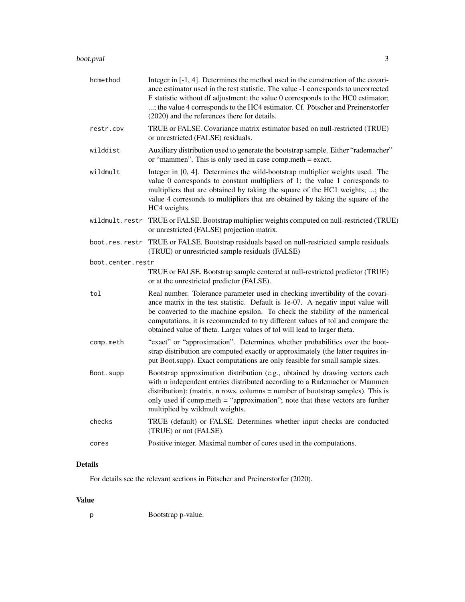#### boot.pval 3

| hcmethod          | Integer in [-1, 4]. Determines the method used in the construction of the covari-<br>ance estimator used in the test statistic. The value -1 corresponds to uncorrected<br>F statistic without df adjustment; the value 0 corresponds to the HC0 estimator;<br>; the value 4 corresponds to the HC4 estimator. Cf. Pötscher and Preinerstorfer<br>(2020) and the references there for details.                  |
|-------------------|-----------------------------------------------------------------------------------------------------------------------------------------------------------------------------------------------------------------------------------------------------------------------------------------------------------------------------------------------------------------------------------------------------------------|
| restr.cov         | TRUE or FALSE. Covariance matrix estimator based on null-restricted (TRUE)<br>or unrestricted (FALSE) residuals.                                                                                                                                                                                                                                                                                                |
| wilddist          | Auxiliary distribution used to generate the bootstrap sample. Either "rademacher"<br>or "mammen". This is only used in case comp.meth $=$ exact.                                                                                                                                                                                                                                                                |
| wildmult          | Integer in [0, 4]. Determines the wild-bootstrap multiplier weights used. The<br>value 0 corresponds to constant multipliers of 1; the value 1 corresponds to<br>multipliers that are obtained by taking the square of the HC1 weights; ; the<br>value 4 corresonds to multipliers that are obtained by taking the square of the<br>HC4 weights.                                                                |
|                   | wildmult.restr TRUE or FALSE. Bootstrap multiplier weights computed on null-restricted (TRUE)<br>or unrestricted (FALSE) projection matrix.                                                                                                                                                                                                                                                                     |
|                   | boot.res.restr TRUE or FALSE. Bootstrap residuals based on null-restricted sample residuals<br>(TRUE) or unrestricted sample residuals (FALSE)                                                                                                                                                                                                                                                                  |
| boot.center.restr |                                                                                                                                                                                                                                                                                                                                                                                                                 |
|                   | TRUE or FALSE. Bootstrap sample centered at null-restricted predictor (TRUE)<br>or at the unrestricted predictor (FALSE).                                                                                                                                                                                                                                                                                       |
| tol               | Real number. Tolerance parameter used in checking invertibility of the covari-<br>ance matrix in the test statistic. Default is 1e-07. A negativ input value will<br>be converted to the machine epsilon. To check the stability of the numerical<br>computations, it is recommended to try different values of tol and compare the<br>obtained value of theta. Larger values of tol will lead to larger theta. |
| comp.meth         | "exact" or "approximation". Determines whether probabilities over the boot-<br>strap distribution are computed exactly or approximately (the latter requires in-<br>put Boot.supp). Exact computations are only feasible for small sample sizes.                                                                                                                                                                |
| Boot.supp         | Bootstrap approximation distribution (e.g., obtained by drawing vectors each<br>with n independent entries distributed according to a Rademacher or Mammen<br>distribution); (matrix, n rows, columns = number of bootstrap samples). This is<br>only used if comp.meth = "approximation"; note that these vectors are further<br>multiplied by wildmult weights.                                               |
| checks            | TRUE (default) or FALSE. Determines whether input checks are conducted<br>(TRUE) or not (FALSE).                                                                                                                                                                                                                                                                                                                |
| cores             | Positive integer. Maximal number of cores used in the computations.                                                                                                                                                                                                                                                                                                                                             |
|                   |                                                                                                                                                                                                                                                                                                                                                                                                                 |

### Details

For details see the relevant sections in Pötscher and Preinerstorfer (2020).

#### Value

| Ŋ | Bootstrap p-value. |  |
|---|--------------------|--|
|---|--------------------|--|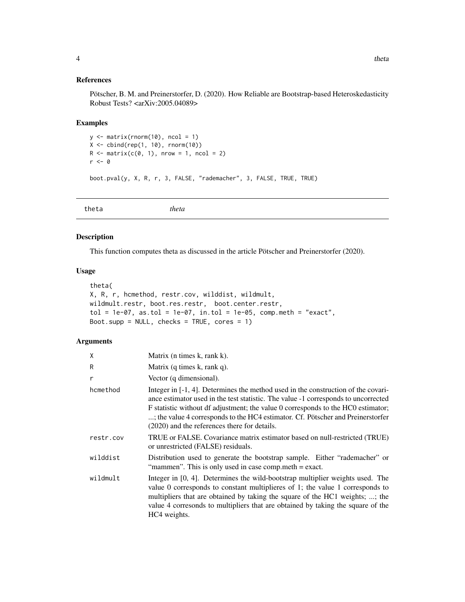#### <span id="page-3-0"></span>References

Pötscher, B. M. and Preinerstorfer, D. (2020). How Reliable are Bootstrap-based Heteroskedasticity Robust Tests? <arXiv:2005.04089>

#### Examples

```
y <- matrix(rnorm(10), ncol = 1)
X <- cbind(rep(1, 10), rnorm(10))
R \leq - matrix(c(0, 1), nrow = 1, ncol = 2)
r <- 0
boot.pval(y, X, R, r, 3, FALSE, "rademacher", 3, FALSE, TRUE, TRUE)
```
theta *theta*

#### Description

This function computes theta as discussed in the article Pötscher and Preinerstorfer (2020).

#### Usage

```
theta(
X, R, r, hcmethod, restr.cov, wilddist, wildmult,
wildmult.restr, boot.res.restr, boot.center.restr,
tol = 1e-07, as.tol = 1e-07, in.tol = 1e-05, comp.meth = "exact",
Boot.supp = NULL, checks = TRUE, cores = 1)
```
#### Arguments

| χ         | Matrix (n times k, rank k).                                                                                                                                                                                                                                                                                                                                                                       |
|-----------|---------------------------------------------------------------------------------------------------------------------------------------------------------------------------------------------------------------------------------------------------------------------------------------------------------------------------------------------------------------------------------------------------|
| R         | Matrix $(q \times k, \text{rank } q)$ .                                                                                                                                                                                                                                                                                                                                                           |
| r         | Vector (q dimensional).                                                                                                                                                                                                                                                                                                                                                                           |
| hcmethod  | Integer in $[-1, 4]$ . Determines the method used in the construction of the covari-<br>ance estimator used in the test statistic. The value -1 corresponds to uncorrected<br>F statistic without df adjustment; the value 0 corresponds to the HC0 estimator;<br>; the value 4 corresponds to the HC4 estimator. Cf. Pötscher and Preinerstorfer<br>(2020) and the references there for details. |
| restr.cov | TRUE or FALSE. Covariance matrix estimator based on null-restricted (TRUE)<br>or unrestricted (FALSE) residuals.                                                                                                                                                                                                                                                                                  |
| wilddist  | Distribution used to generate the bootstrap sample. Either "rademacher" or<br>"mammen". This is only used in case comp.meth = exact.                                                                                                                                                                                                                                                              |
| wildmult  | Integer in [0, 4]. Determines the wild-bootstrap multiplier weights used. The<br>value 0 corresponds to constant multiplieres of 1; the value 1 corresponds to<br>multipliers that are obtained by taking the square of the HC1 weights; ; the<br>value 4 corresonds to multipliers that are obtained by taking the square of the<br>HC4 weights.                                                 |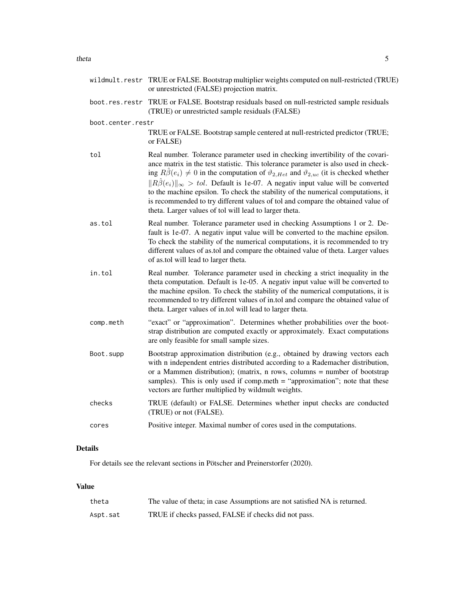#### theta 5

|                   | wildmult.restr TRUE or FALSE. Bootstrap multiplier weights computed on null-restricted (TRUE)<br>or unrestricted (FALSE) projection matrix.                                                                                                                                                                                                                                                                                                                                                                                                                                                                                          |
|-------------------|--------------------------------------------------------------------------------------------------------------------------------------------------------------------------------------------------------------------------------------------------------------------------------------------------------------------------------------------------------------------------------------------------------------------------------------------------------------------------------------------------------------------------------------------------------------------------------------------------------------------------------------|
| boot.res.restr    | TRUE or FALSE. Bootstrap residuals based on null-restricted sample residuals<br>(TRUE) or unrestricted sample residuals (FALSE)                                                                                                                                                                                                                                                                                                                                                                                                                                                                                                      |
| boot.center.restr | TRUE or FALSE. Bootstrap sample centered at null-restricted predictor (TRUE;<br>or FALSE)                                                                                                                                                                                                                                                                                                                                                                                                                                                                                                                                            |
| tol               | Real number. Tolerance parameter used in checking invertibility of the covari-<br>ance matrix in the test statistic. This tolerance parameter is also used in check-<br>ing $R\hat{\beta}(e_i) \neq 0$ in the computation of $\vartheta_{2,Het}$ and $\vartheta_{2,uc}$ (it is checked whether<br>$  R\hat{\beta}(e_i)  _{\infty} > tol.$ Default is 1e-07. A negativ input value will be converted<br>to the machine epsilon. To check the stability of the numerical computations, it<br>is recommended to try different values of tol and compare the obtained value of<br>theta. Larger values of tol will lead to larger theta. |
| as.tol            | Real number. Tolerance parameter used in checking Assumptions 1 or 2. De-<br>fault is 1e-07. A negativ input value will be converted to the machine epsilon.<br>To check the stability of the numerical computations, it is recommended to try<br>different values of as.tol and compare the obtained value of theta. Larger values<br>of as.tol will lead to larger theta.                                                                                                                                                                                                                                                          |
| in.tol            | Real number. Tolerance parameter used in checking a strict inequality in the<br>theta computation. Default is 1e-05. A negativ input value will be converted to<br>the machine epsilon. To check the stability of the numerical computations, it is<br>recommended to try different values of in.tol and compare the obtained value of<br>theta. Larger values of in.tol will lead to larger theta.                                                                                                                                                                                                                                  |
| comp.meth         | "exact" or "approximation". Determines whether probabilities over the boot-<br>strap distribution are computed exactly or approximately. Exact computations<br>are only feasible for small sample sizes.                                                                                                                                                                                                                                                                                                                                                                                                                             |
| Boot.supp         | Bootstrap approximation distribution (e.g., obtained by drawing vectors each<br>with n independent entries distributed according to a Rademacher distribution,<br>or a Mammen distribution); (matrix, n rows, columns = number of bootstrap<br>samples). This is only used if comp.meth $=$ "approximation"; note that these<br>vectors are further multiplied by wildmult weights.                                                                                                                                                                                                                                                  |
| checks            | TRUE (default) or FALSE. Determines whether input checks are conducted<br>(TRUE) or not (FALSE).                                                                                                                                                                                                                                                                                                                                                                                                                                                                                                                                     |
| cores             | Positive integer. Maximal number of cores used in the computations.                                                                                                                                                                                                                                                                                                                                                                                                                                                                                                                                                                  |

## Details

For details see the relevant sections in Pötscher and Preinerstorfer (2020).

#### Value

| theta    | The value of theta; in case Assumptions are not satisfied NA is returned. |
|----------|---------------------------------------------------------------------------|
| Aspt.sat | TRUE if checks passed, FALSE if checks did not pass.                      |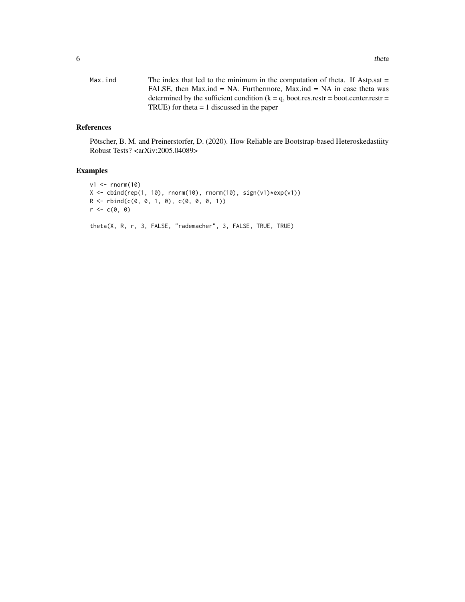| Max.ind | The index that led to the minimum in the computation of theta. If Astp.sat $=$          |
|---------|-----------------------------------------------------------------------------------------|
|         | FALSE, then Max.ind = NA. Furthermore, Max.ind = NA in case theta was                   |
|         | determined by the sufficient condition ( $k = q$ , boot.res.restr = boot.center.restr = |
|         | TRUE) for theta $= 1$ discussed in the paper                                            |

#### References

Pötscher, B. M. and Preinerstorfer, D. (2020). How Reliable are Bootstrap-based Heteroskedastiity Robust Tests? <arXiv:2005.04089>

#### Examples

```
v1 <- rnorm(10)
X \leftarrow \text{cbind}(\text{rep}(1, 10), \text{norm}(10), \text{norm}(10), \text{sign}(v1)*exp(v1))R \leftarrow \text{rbind}(c(0, 0, 1, 0), c(0, 0, 0, 1))r \leftarrow c(\emptyset, \emptyset)theta(X, R, r, 3, FALSE, "rademacher", 3, FALSE, TRUE, TRUE)
```